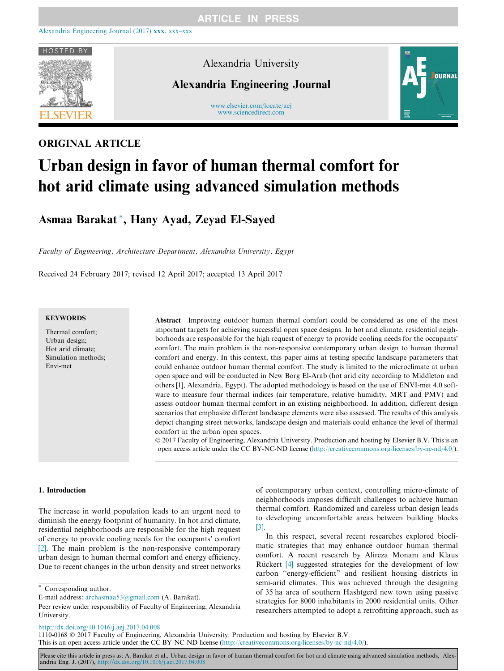

### ORIGINAL ARTICLE

Alexandria University

Alexandria Engineering Journal

www.elsevier.com/locate/aej [www.sciencedirect.com](http://www.sciencedirect.com/science/journal/11100168)



# Urban design in favor of human thermal comfort for hot arid climate using advanced simulation methods

Asmaa Barakat \*, Hany Ayad, Zeyad El-Sayed

Faculty of Engineering, Architecture Department, Alexandria University, Egypt

Received 24 February 2017; revised 12 April 2017; accepted 13 April 2017

#### **KEYWORDS**

Thermal comfort; Urban design; Hot arid climate; Simulation methods; Envi-met

Abstract Improving outdoor human thermal comfort could be considered as one of the most important targets for achieving successful open space designs. In hot arid climate, residential neighborhoods are responsible for the high request of energy to provide cooling needs for the occupants' comfort. The main problem is the non-responsive contemporary urban design to human thermal comfort and energy. In this context, this paper aims at testing specific landscape parameters that could enhance outdoor human thermal comfort. The study is limited to the microclimate at urban open space and will be conducted in New Borg El-Arab (hot arid city according to Middleton and others [1], Alexandria, Egypt). The adopted methodology is based on the use of ENVI-met 4.0 software to measure four thermal indices (air temperature, relative humidity, MRT and PMV) and assess outdoor human thermal comfort in an existing neighborhood. In addition, different design scenarios that emphasize different landscape elements were also assessed. The results of this analysis depict changing street networks, landscape design and materials could enhance the level of thermal comfort in the urban open spaces.

 2017 Faculty of Engineering, Alexandria University. Production and hosting by Elsevier B.V. This is an open access article under the CC BY-NC-ND license ([http://creativecommons.org/licenses/by-nc-nd/4.0/\)](http://creativecommons.org/licenses/by-nc-nd/4.0/).

#### 1. Introduction

The increase in world population leads to an urgent need to diminish the energy footprint of humanity. In hot arid climate, residential neighborhoods are responsible for the high request of energy to provide cooling needs for the occupants' comfort [2]. The main problem is the non-responsive contemporary urban design to human thermal comfort and energy efficiency. Due to recent changes in the urban density and street networks

\* Corresponding author.

E-mail address: [archasmaa53@gmail.com](mailto:archasmaa53@gmail.com) (A. Barakat).

Peer review under responsibility of Faculty of Engineering, Alexandria University.

of contemporary urban context, controlling micro-climate of neighborhoods imposes difficult challenges to achieve human thermal comfort. Randomized and careless urban design leads to developing uncomfortable areas between building blocks [3].

In this respect, several recent researches explored bioclimatic strategies that may enhance outdoor human thermal comfort. A recent research by Alireza Monam and Klaus Rückert [4] suggested strategies for the development of low carbon ''energy-efficient" and resilient housing districts in semi-arid climates. This was achieved through the designing of 35 ha area of southern Hashtgerd new town using passive strategies for 8000 inhabitants in 2000 residential units. Other researchers attempted to adopt a retrofitting approach, such as

<http://dx.doi.org/10.1016/j.aej.2017.04.008>

1110-0168 2017 Faculty of Engineering, Alexandria University. Production and hosting by Elsevier B.V.

This is an open access article under the CC BY-NC-ND license [\(http://creativecommons.org/licenses/by-nc-nd/4.0/](http://creativecommons.org/licenses/by-nc-nd/4.0/)).

Please cite this article in press as: A. Barakat et al., Urban design in favor of human thermal comfort for hot arid climate using advanced simulation methods, Alexandria Eng. J. (2017), <http://dx.doi.org/10.1016/j.aej.2017.04.008>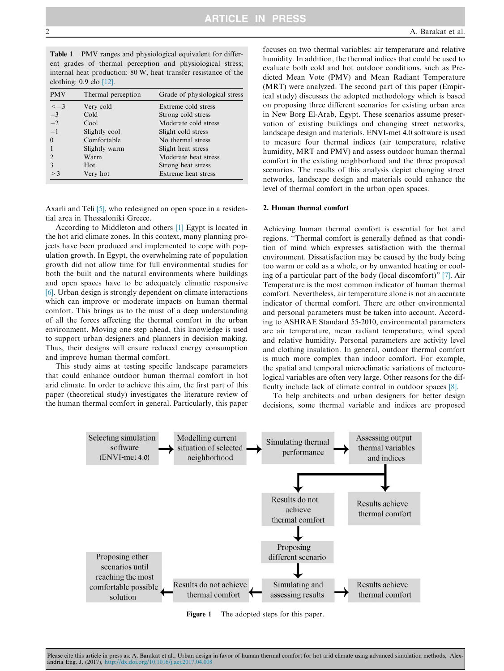Table 1 PMV ranges and physiological equivalent for different grades of thermal perception and physiological stress; internal heat production: 80 W, heat transfer resistance of the clothing: 0.9 clo [12].

| <b>PMV</b>   | Thermal perception | Grade of physiological stress |
|--------------|--------------------|-------------------------------|
| $\leq -3$    | Very cold          | Extreme cold stress           |
| $-3$         | Cold               | Strong cold stress            |
| $-2$         | Cool               | Moderate cold stress          |
| $-1$         | Slightly cool      | Slight cold stress            |
| $\Omega$     | Comfortable        | No thermal stress             |
|              | Slightly warm      | Slight heat stress            |
|              | Warm               | Moderate heat stress          |
| $\mathbf{3}$ | Hot                | Strong heat stress            |
| $>$ 3        | Very hot           | Extreme heat stress           |
|              |                    |                               |

Axarli and Teli [5], who redesigned an open space in a residential area in Thessaloniki Greece.

According to Middleton and others [1] Egypt is located in the hot arid climate zones. In this context, many planning projects have been produced and implemented to cope with population growth. In Egypt, the overwhelming rate of population growth did not allow time for full environmental studies for both the built and the natural environments where buildings and open spaces have to be adequately climatic responsive [6]. Urban design is strongly dependent on climate interactions which can improve or moderate impacts on human thermal comfort. This brings us to the must of a deep understanding of all the forces affecting the thermal comfort in the urban environment. Moving one step ahead, this knowledge is used to support urban designers and planners in decision making. Thus, their designs will ensure reduced energy consumption and improve human thermal comfort.

This study aims at testing specific landscape parameters that could enhance outdoor human thermal comfort in hot arid climate. In order to achieve this aim, the first part of this paper (theoretical study) investigates the literature review of the human thermal comfort in general. Particularly, this paper

focuses on two thermal variables: air temperature and relative humidity. In addition, the thermal indices that could be used to evaluate both cold and hot outdoor conditions, such as Predicted Mean Vote (PMV) and Mean Radiant Temperature (MRT) were analyzed. The second part of this paper (Empirical study) discusses the adopted methodology which is based on proposing three different scenarios for existing urban area in New Borg El-Arab, Egypt. These scenarios assume preservation of existing buildings and changing street networks, landscape design and materials. ENVI-met 4.0 software is used to measure four thermal indices (air temperature, relative humidity, MRT and PMV) and assess outdoor human thermal comfort in the existing neighborhood and the three proposed scenarios. The results of this analysis depict changing street networks, landscape design and materials could enhance the level of thermal comfort in the urban open spaces.

#### 2. Human thermal comfort

Achieving human thermal comfort is essential for hot arid regions. ''Thermal comfort is generally defined as that condition of mind which expresses satisfaction with the thermal environment. Dissatisfaction may be caused by the body being too warm or cold as a whole, or by unwanted heating or cooling of a particular part of the body (local discomfort)" [7]. Air Temperature is the most common indicator of human thermal comfort. Nevertheless, air temperature alone is not an accurate indicator of thermal comfort. There are other environmental and personal parameters must be taken into account. According to ASHRAE Standard 55-2010, environmental parameters are air temperature, mean radiant temperature, wind speed and relative humidity. Personal parameters are activity level and clothing insulation. In general, outdoor thermal comfort is much more complex than indoor comfort. For example, the spatial and temporal microclimatic variations of meteorological variables are often very large. Other reasons for the difficulty include lack of climate control in outdoor spaces [8].

To help architects and urban designers for better design decisions, some thermal variable and indices are proposed



Figure 1 The adopted steps for this paper.

Please cite this article in press as: A. Barakat et al., Urban design in favor of human thermal comfort for hot arid climate using advanced simulation methods, Alexandria Eng. J. (2017), <http://dx.doi.org/10.1016/j.aej.2017.04.008>